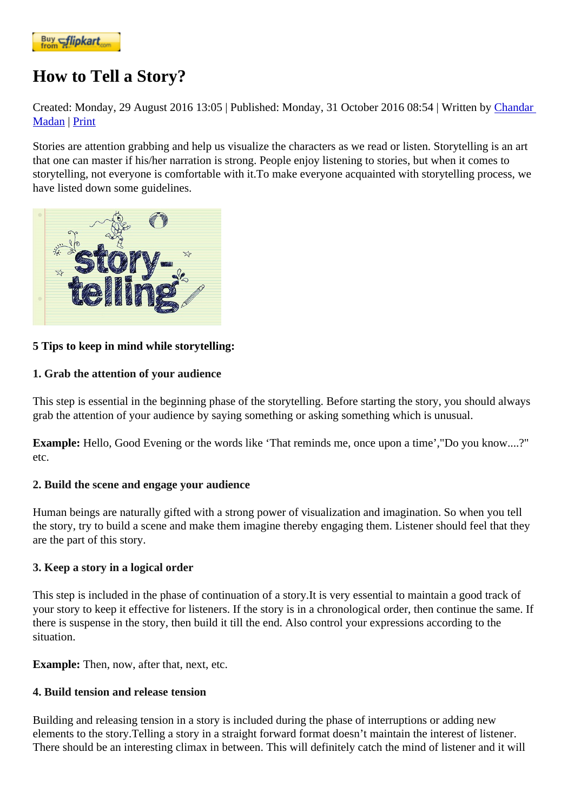## [How to Tell](https://www.flipkart.com/spoken-english-3rd/p/itmezunpyjy5xcc7?pid=9789339221461&affid=kaminiraw) a Story?

Created: Monday, 29 August 2016 13:05 ublished: Monday, 31 October 2016 08:54 ritten by Chandar **Madan| Print** 

Stories are attention grabbing and help us visualize the characters as we read or listen. Storytelling is an art that one can master if his/her narration is strong. People enjoy listening to stories, but whe[n it come](https://english.eagetutor.com/contact)s to [storyte](https://english.eagetutor.com/contact)lling, not everyone is comfortable with it.To make everyone acquainted with storytelling process, we have listed down some guidelines.

[5 Tips to keep in mind while storytelli](http://www.eagetutor.com/)ng:

1. Grab the attention of your audience

This step is essential in the beginning phase of the storytelling. Before starting the story, you should always grab the attention of your audience by saying something or asking something which is unusual.

Example: Hello, Good Evening or the words like 'That reminds me, once upon a time',"Do you know....?" etc.

2. Build the scene and engage your audience

Human beings are naturally gifted with a strong power of visualization and imagination. So when you tell the story, try to build a scene and make them imagine thereby engaging them. Listener should feel that they are the part of this story.

3. Keep a story in a logical order

This step is included in the phase of continuation of a story.It is very essential to maintain a good track of your story to keep it effective for listeners. If the story is in a chronological order, then continue the same. If there is suspense in the story, then build it till the end. Also control your expressions according to the situation.

Example: Then, now, after that, next, etc.

4. Build tension and release tension

Building and releasing tension in a story is included during the phase of interruptions or adding new elements to the story.Telling a story in a straight forward format doesn't maintain the interest of listener. There should be an interesting climax in between. This will definitely catch the mind of listener and it will